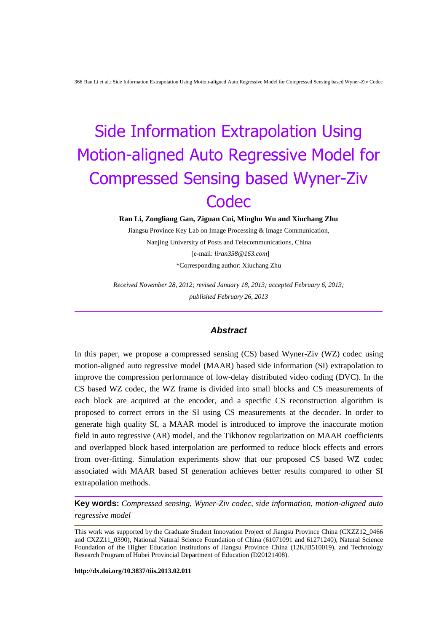**Ran Li, Zongliang Gan, Ziguan Cui, Minghu Wu and Xiuchang Zhu**

Jiangsu Province Key Lab on Image Processing & Image Communication, Nanjing University of Posts and Telecommunications, China [e-mail: *liran358@163.com*] \*Corresponding author: Xiuchang Zhu

*Received November 28, 2012; revised January 18, 2013; accepted February 6, 2013; published February 26, 2013*

## *Abstract*

In this paper, we propose a compressed sensing (CS) based Wyner-Ziv (WZ) codec using motion-aligned auto regressive model (MAAR) based side information (SI) extrapolation to improve the compression performance of low-delay distributed video coding (DVC). In the CS based WZ codec, the WZ frame is divided into small blocks and CS measurements of each block are acquired at the encoder, and a specific CS reconstruction algorithm is proposed to correct errors in the SI using CS measurements at the decoder. In order to generate high quality SI, a MAAR model is introduced to improve the inaccurate motion field in auto regressive (AR) model, and the Tikhonov regularization on MAAR coefficients and overlapped block based interpolation are performed to reduce block effects and errors from over-fitting. Simulation experiments show that our proposed CS based WZ codec associated with MAAR based SI generation achieves better results compared to other SI extrapolation methods.

**Key words:** *Compressed sensing, Wyner-Ziv codec, side information, motion-aligned auto regressive model*

This work was supported by the Graduate Student Innovation Project of Jiangsu Province China (CXZZ12\_0466 and CXZZ11\_0390), National Natural Science Foundation of China (61071091 and 61271240), Natural Science Foundation of the Higher Education Institutions of Jiangsu Province China (12KJB510019), and Technology Research Program of Hubei Provincial Department of Education (D20121408).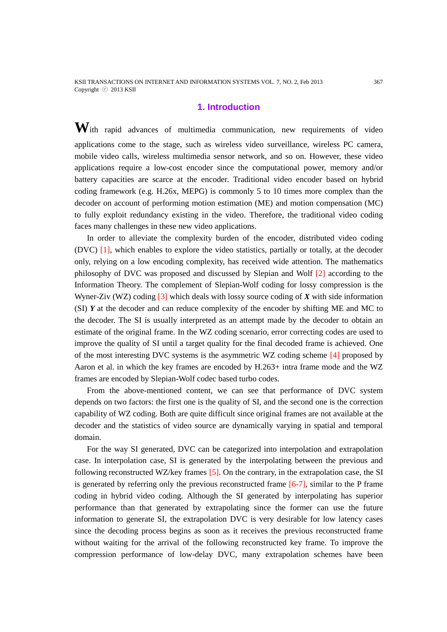KSII TRANSACTIONS ON INTERNET AND INFORMATION SYSTEMS VOL. 7, NO. 2, Feb 2013 367 Copyright ⓒ 2013 KSII

## **1. Introduction**

With rapid advances of multimedia communication, new requirements of video applications come to the stage, such as wireless video surveillance, wireless PC camera, mobile video calls, wireless multimedia sensor network, and so on. However, these video applications require a low-cost encoder since the computational power, memory and/or battery capacities are scarce at the encoder. Traditional video encoder based on hybrid coding framework (e.g. H.26x, MEPG) is commonly 5 to 10 times more complex than the decoder on account of performing motion estimation (ME) and motion compensation (MC) to fully exploit redundancy existing in the video. Therefore, the traditional video coding faces many challenges in these new video applications.

In order to alleviate the complexity burden of the encoder, distributed video coding (DVC) [1], which enables to explore the video statistics, partially or totally, at the decoder only, relying on a low encoding complexity, has received wide attention. The mathematics philosophy of DVC was proposed and discussed by Slepian and Wolf [2] according to the Information Theory. The complement of Slepian-Wolf coding for lossy compression is the Wyner-Ziv (WZ) coding [3] which deals with lossy source coding of *X* with side information (SI) *Y* at the decoder and can reduce complexity of the encoder by shifting ME and MC to the decoder. The SI is usually interpreted as an attempt made by the decoder to obtain an estimate of the original frame. In the WZ coding scenario, error correcting codes are used to improve the quality of SI until a target quality for the final decoded frame is achieved. One of the most interesting DVC systems is the asymmetric WZ coding scheme [4] proposed by Aaron et al. in which the key frames are encoded by H.263+ intra frame mode and the WZ frames are encoded by Slepian-Wolf codec based turbo codes.

From the above-mentioned content, we can see that performance of DVC system depends on two factors: the first one is the quality of SI, and the second one is the correction capability of WZ coding. Both are quite difficult since original frames are not available at the decoder and the statistics of video source are dynamically varying in spatial and temporal domain.

For the way SI generated, DVC can be categorized into interpolation and extrapolation case. In interpolation case, SI is generated by the interpolating between the previous and following reconstructed WZ/key frames [5]. On the contrary, in the extrapolation case, the SI is generated by referring only the previous reconstructed frame [6-7], similar to the P frame coding in hybrid video coding. Although the SI generated by interpolating has superior performance than that generated by extrapolating since the former can use the future information to generate SI, the extrapolation DVC is very desirable for low latency cases since the decoding process begins as soon as it receives the previous reconstructed frame without waiting for the arrival of the following reconstructed key frame. To improve the compression performance of low-delay DVC, many extrapolation schemes have been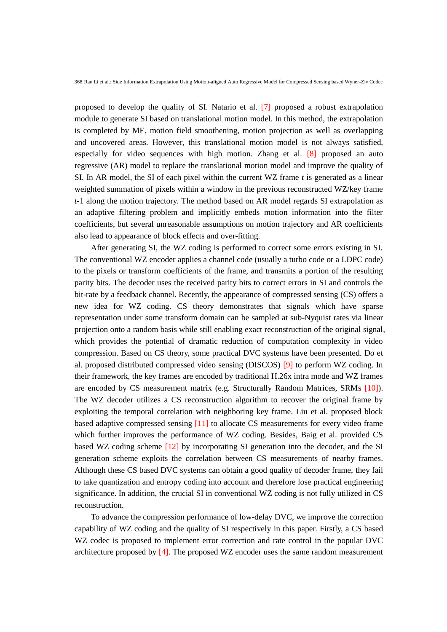proposed to develop the quality of SI. Natario et al. [7] proposed a robust extrapolation module to generate SI based on translational motion model. In this method, the extrapolation is completed by ME, motion field smoothening, motion projection as well as overlapping and uncovered areas. However, this translational motion model is not always satisfied, especially for video sequences with high motion. Zhang et al. [8] proposed an auto regressive (AR) model to replace the translational motion model and improve the quality of SI. In AR model, the SI of each pixel within the current WZ frame *t* is generated as a linear weighted summation of pixels within a window in the previous reconstructed WZ/key frame *t-*1 along the motion trajectory. The method based on AR model regards SI extrapolation as an adaptive filtering problem and implicitly embeds motion information into the filter coefficients, but several unreasonable assumptions on motion trajectory and AR coefficients also lead to appearance of block effects and over-fitting.

After generating SI, the WZ coding is performed to correct some errors existing in SI. The conventional WZ encoder applies a channel code (usually a turbo code or a LDPC code) to the pixels or transform coefficients of the frame, and transmits a portion of the resulting parity bits. The decoder uses the received parity bits to correct errors in SI and controls the bit-rate by a feedback channel. Recently, the appearance of compressed sensing (CS) offers a new idea for WZ coding. CS theory demonstrates that signals which have sparse representation under some transform domain can be sampled at sub-Nyquist rates via linear projection onto a random basis while still enabling exact reconstruction of the original signal, which provides the potential of dramatic reduction of computation complexity in video compression. Based on CS theory, some practical DVC systems have been presented. Do et al. proposed distributed compressed video sensing (DISCOS) [9] to perform WZ coding. In their framework, the key frames are encoded by traditional H.26x intra mode and WZ frames are encoded by CS measurement matrix (e.g. Structurally Random Matrices, SRMs [10]). The WZ decoder utilizes a CS reconstruction algorithm to recover the original frame by exploiting the temporal correlation with neighboring key frame. Liu et al. proposed block based adaptive compressed sensing [11] to allocate CS measurements for every video frame which further improves the performance of WZ coding. Besides, Baig et al. provided CS based WZ coding scheme [12] by incorporating SI generation into the decoder, and the SI generation scheme exploits the correlation between CS measurements of nearby frames. Although these CS based DVC systems can obtain a good quality of decoder frame, they fail to take quantization and entropy coding into account and therefore lose practical engineering significance. In addition, the crucial SI in conventional WZ coding is not fully utilized in CS reconstruction.

To advance the compression performance of low-delay DVC, we improve the correction capability of WZ coding and the quality of SI respectively in this paper. Firstly, a CS based WZ codec is proposed to implement error correction and rate control in the popular DVC architecture proposed by  $[4]$ . The proposed WZ encoder uses the same random measurement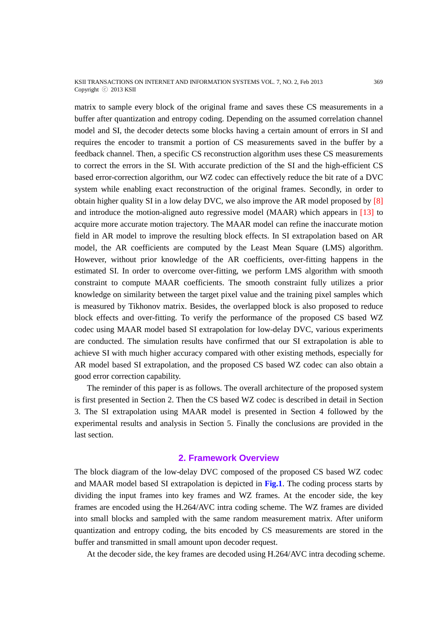#### KSII TRANSACTIONS ON INTERNET AND INFORMATION SYSTEMS VOL. 7, NO. 2, Feb 2013 369 Copyright ⓒ 2013 KSII

matrix to sample every block of the original frame and saves these CS measurements in a buffer after quantization and entropy coding. Depending on the assumed correlation channel model and SI, the decoder detects some blocks having a certain amount of errors in SI and requires the encoder to transmit a portion of CS measurements saved in the buffer by a feedback channel. Then, a specific CS reconstruction algorithm uses these CS measurements to correct the errors in the SI. With accurate prediction of the SI and the high-efficient CS based error-correction algorithm, our WZ codec can effectively reduce the bit rate of a DVC system while enabling exact reconstruction of the original frames. Secondly, in order to obtain higher quality SI in a low delay DVC, we also improve the AR model proposed by [8] and introduce the motion-aligned auto regressive model (MAAR) which appears in [13] to acquire more accurate motion trajectory. The MAAR model can refine the inaccurate motion field in AR model to improve the resulting block effects. In SI extrapolation based on AR model, the AR coefficients are computed by the Least Mean Square (LMS) algorithm. However, without prior knowledge of the AR coefficients, over-fitting happens in the estimated SI. In order to overcome over-fitting, we perform LMS algorithm with smooth constraint to compute MAAR coefficients. The smooth constraint fully utilizes a prior knowledge on similarity between the target pixel value and the training pixel samples which is measured by Tikhonov matrix. Besides, the overlapped block is also proposed to reduce block effects and over-fitting. To verify the performance of the proposed CS based WZ codec using MAAR model based SI extrapolation for low-delay DVC, various experiments are conducted. The simulation results have confirmed that our SI extrapolation is able to achieve SI with much higher accuracy compared with other existing methods, especially for AR model based SI extrapolation, and the proposed CS based WZ codec can also obtain a good error correction capability.

The reminder of this paper is as follows. The overall architecture of the proposed system is first presented in Section 2. Then the CS based WZ codec is described in detail in Section 3. The SI extrapolation using MAAR model is presented in Section 4 followed by the experimental results and analysis in Section 5. Finally the conclusions are provided in the last section.

## **2. Framework Overview**

The block diagram of the low-delay DVC composed of the proposed CS based WZ codec and MAAR model based SI extrapolation is depicted in **Fig.1**. The coding process starts by dividing the input frames into key frames and WZ frames. At the encoder side, the key frames are encoded using the H.264/AVC intra coding scheme. The WZ frames are divided into small blocks and sampled with the same random measurement matrix. After uniform quantization and entropy coding, the bits encoded by CS measurements are stored in the buffer and transmitted in small amount upon decoder request.

At the decoder side, the key frames are decoded using H.264/AVC intra decoding scheme.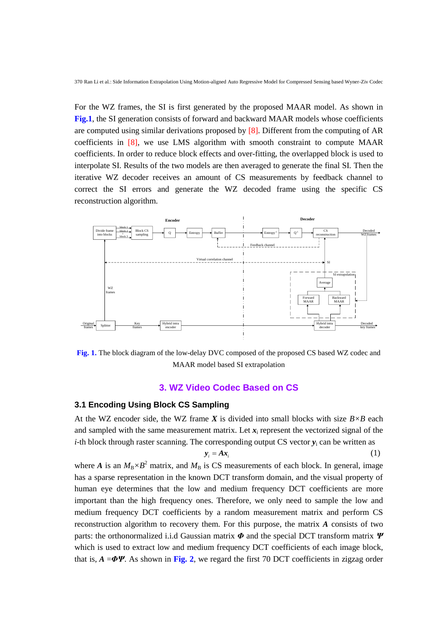For the WZ frames, the SI is first generated by the proposed MAAR model. As shown in **Fig.1**, the SI generation consists of forward and backward MAAR models whose coefficients are computed using similar derivations proposed by [8]. Different from the computing of AR coefficients in [8], we use LMS algorithm with smooth constraint to compute MAAR coefficients. In order to reduce block effects and over-fitting, the overlapped block is used to interpolate SI. Results of the two models are then averaged to generate the final SI. Then the iterative WZ decoder receives an amount of CS measurements by feedback channel to correct the SI errors and generate the WZ decoded frame using the specific CS reconstruction algorithm.



**Fig. 1.** The block diagram of the low-delay DVC composed of the proposed CS based WZ codec and MAAR model based SI extrapolation

## **3. WZ Video Codec Based on CS**

#### **3.1 Encoding Using Block CS Sampling**

At the WZ encoder side, the WZ frame *X* is divided into small blocks with size *B× B* each and sampled with the same measurement matrix. Let  $x_i$  represent the vectorized signal of the *i*-th block through raster scanning. The corresponding output CS vector  $y_i$  can be written as

$$
\mathbf{y}_i = A\mathbf{x}_i \tag{1}
$$

where *A* is an  $M_B \times B^2$  matrix, and  $M_B$  is CS measurements of each block. In general, image has a sparse representation in the known DCT transform domain, and the visual property of human eye determines that the low and medium frequency DCT coefficients are more important than the high frequency ones. Therefore, we only need to sample the low and medium frequency DCT coefficients by a random measurement matrix and perform CS reconstruction algorithm to recovery them. For this purpose, the matrix *A* consists of two parts: the orthonormalized i.i.d Gaussian matrix *Φ* and the special DCT transform matrix *Ψ* which is used to extract low and medium frequency DCT coefficients of each image block, that is,  $A = \Phi \Psi$ . As shown in Fig. 2, we regard the first 70 DCT coefficients in zigzag order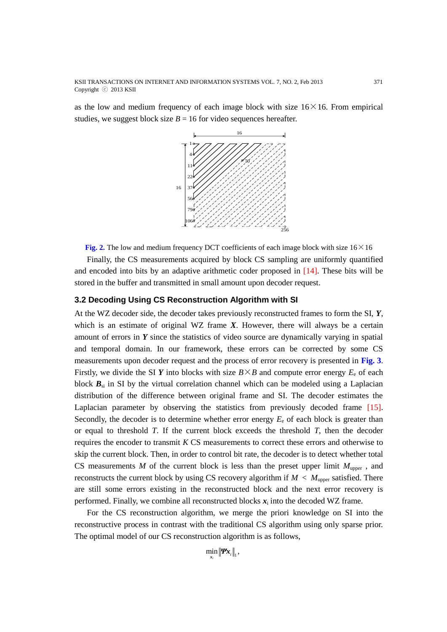KSII TRANSACTIONS ON INTERNET AND INFORMATION SYSTEMS VOL. 7, NO. 2, Feb 2013 371 Copyright ⓒ 2013 KSII

as the low and medium frequency of each image block with size  $16 \times 16$ . From empirical studies, we suggest block size  $B = 16$  for video sequences hereafter.



**Fig. 2.** The low and medium frequency DCT coefficients of each image block with size  $16 \times 16$ 

Finally, the CS measurements acquired by block CS sampling are uniformly quantified and encoded into bits by an adaptive arithmetic coder proposed in [14]. These bits will be stored in the buffer and transmitted in small amount upon decoder request.

## **3.2 Decoding Using CS Reconstruction Algorithm with SI**

At the WZ decoder side, the decoder takes previously reconstructed frames to form the SI, *Y*, which is an estimate of original WZ frame *X*. However, there will always be a certain amount of errors in *Y* since the statistics of video source are dynamically varying in spatial and temporal domain. In our framework, these errors can be corrected by some CS measurements upon decoder request and the process of error recovery is presented in **Fig. 3**. Firstly, we divide the SI *Y* into blocks with size  $B \times B$  and compute error energy  $E_e$  of each block  $B_{si}$  in SI by the virtual correlation channel which can be modeled using a Laplacian distribution of the difference between original frame and SI. The decoder estimates the Laplacian parameter by observing the statistics from previously decoded frame [15]. Secondly, the decoder is to determine whether error energy  $E<sub>e</sub>$  of each block is greater than or equal to threshold *T*. If the current block exceeds the threshold *T*, then the decoder requires the encoder to transmit *K* CS measurements to correct these errors and otherwise to skip the current block. Then, in order to control bit rate, the decoder is to detect whether total CS measurements *M* of the current block is less than the preset upper limit  $M_{\text{upper}}$ , and reconstructs the current block by using CS recovery algorithm if  $M < M_{\text{upper}}$  satisfied. There are still some errors existing in the reconstructed block and the next error recovery is performed. Finally, we combine all reconstructed blocks  $x_i$  into the decoded WZ frame.

For the CS reconstruction algorithm, we merge the priori knowledge on SI into the reconstructive process in contrast with the traditional CS algorithm using only sparse prior. The optimal model of our CS reconstruction algorithm is as follows,

$$
\min_{\mathbf{x}_i} \|\mathbf{W}\mathbf{x}_i\|_1,
$$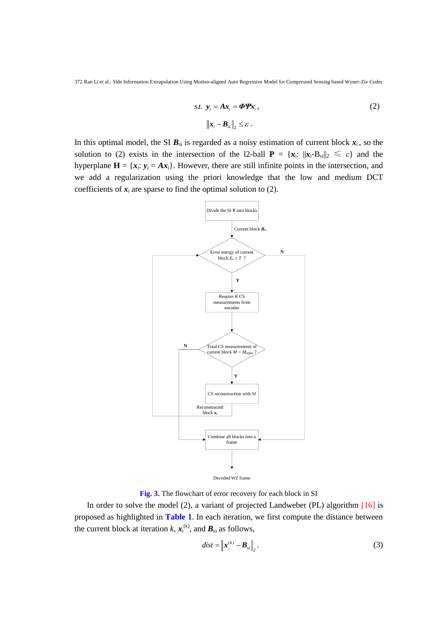$$
s.t. \ \mathbf{y}_{i} = A\mathbf{x}_{i} = \boldsymbol{\Phi}\mathbf{\Psi}\mathbf{x}_{i},
$$

$$
\|\mathbf{x}_{i} - \mathbf{B}_{si}\|_{2} \leq \varepsilon.
$$
 (2)

In this optimal model, the SI  $B_{si}$  is regarded as a noisy estimation of current block  $x_i$ , so the solution to (2) exists in the intersection of the 12-ball  $P = \{x_i: ||x_i - B_{si}||_2 \leq \varepsilon\}$  and the hyperplane  $\mathbf{H} = \{x_i : y_i = Ax_i\}$ . However, there are still infinite points in the intersection, and we add a regularization using the priori knowledge that the low and medium DCT coefficients of  $x_i$  are sparse to find the optimal solution to (2).



**Fig. 3.** The flowchart of error recovery for each block in SI

In order to solve the model (2), a variant of projected Landweber (PL) algorithm  $[16]$  is proposed as highlighted in **Table 1**. In each iteration, we first compute the distance between the current block at iteration  $k$ ,  $x_i^{(k)}$ , and  $B_{si}$  as follows,

$$
dist = \left\| \boldsymbol{x}_i^{(k)} - \boldsymbol{B}_{si} \right\|_2.
$$
 (3)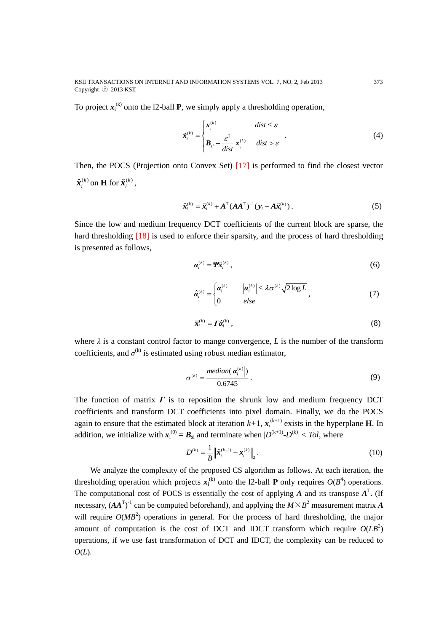KSII TRANSACTIONS ON INTERNET AND INFORMATION SYSTEMS VOL. 7, NO. 2, Feb 2013 373 Copyright ⓒ 2013 KSII

To project  $x_i^{(k)}$  onto the 12-ball **P**, we simply apply a thresholding operation,

$$
\tilde{\mathbf{x}}_i^{(k)} = \begin{cases} \mathbf{x}_i^{(k)} & \text{dist} \leq \varepsilon \\ \mathbf{B}_{si} + \frac{\varepsilon^2}{\text{dist}} \mathbf{x}_i^{(k)} & \text{dist} > \varepsilon \end{cases} \tag{4}
$$

Then, the POCS (Projection onto Convex Set) [17] is performed to find the closest vector  $\hat{\boldsymbol{x}}_i^{(k)}$  on **H** for  $\tilde{\boldsymbol{x}}_i^{(k)}$ ,

$$
\hat{\boldsymbol{x}}_i^{(k)} = \tilde{\boldsymbol{x}}_i^{(k)} + \boldsymbol{A}^{\mathrm{T}} (\boldsymbol{A} \boldsymbol{A}^{\mathrm{T}})^{-1} (\boldsymbol{y}_i - \boldsymbol{A} \tilde{\boldsymbol{x}}_i^{(k)}).
$$
\n(5)

Since the low and medium frequency DCT coefficients of the current block are sparse, the hard thresholding [18] is used to enforce their sparsity, and the process of hard thresholding is presented as follows,

$$
\boldsymbol{a}_{i}^{(k)} = \boldsymbol{\varPsi} \hat{\boldsymbol{x}}_{i}^{(k)} , \qquad (6)
$$

$$
\hat{\boldsymbol{a}}_i^{(k)} = \begin{cases} \boldsymbol{a}_i^{(k)} & |\boldsymbol{a}_i^{(k)}| \leq \lambda \sigma^{(k)} \sqrt{2 \log L} \\ 0 & \text{else} \end{cases} \tag{7}
$$

$$
\bar{\mathbf{x}}_i^{(k)} = \mathbf{\Gamma} \hat{\mathbf{\alpha}}_i^{(k)},\tag{8}
$$

where  $\lambda$  is a constant control factor to mange convergence, *L* is the number of the transform coefficients, and  $\sigma^{(k)}$  is estimated using robust median estimator,

$$
\sigma^{(k)} = \frac{median(\vert \boldsymbol{a}_i^{(k)} \vert)}{0.6745}.
$$
\n(9)

The function of matrix  $\Gamma$  is to reposition the shrunk low and medium frequency DCT coefficients and transform DCT coefficients into pixel domain. Finally, we do the POCS again to ensure that the estimated block at iteration  $k+1$ ,  $x_i^{(k+1)}$  exists in the hyperplane **H**. In addition, we initialize with  $x_i^{(0)} = B_{si}$  and terminate when  $|D^{(k+1)}-D^{(k)}| < Tol$ , where

$$
D^{(k)} = \frac{1}{B} \left\| \hat{\boldsymbol{x}}_i^{(k-1)} - \boldsymbol{x}_i^{(k)} \right\|_2.
$$
 (10)

We analyze the complexity of the proposed CS algorithm as follows. At each iteration, the thresholding operation which projects  $x_i^{(k)}$  onto the 12-ball **P** only requires  $O(B^4)$  operations. The computational cost of POCS is essentially the cost of applying *A* and its transpose  $A^T$ . (If necessary,  $(AA<sup>T</sup>)<sup>-1</sup>$  can be computed beforehand), and applying the  $M \times B<sup>2</sup>$  measurement matrix A will require  $O(MB^2)$  operations in general. For the process of hard thresholding, the major amount of computation is the cost of DCT and IDCT transform which require  $O(LB^2)$ operations, if we use fast transformation of DCT and IDCT, the complexity can be reduced to *O*(*L*).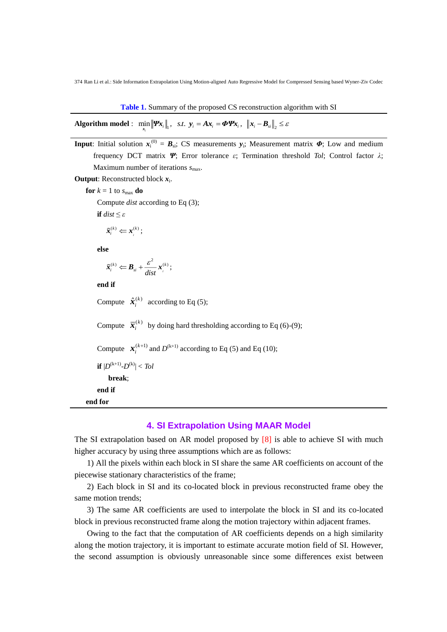**Table 1.** Summary of the proposed CS reconstruction algorithm with SI

|  |  | Algorithm model : $\min_{\mathbf{x}} \ \mathbf{\Psi} \mathbf{x}_i\ _1$ , s.t. $\mathbf{y}_i = A \mathbf{x}_i = \mathbf{\Phi} \mathbf{\Psi} \mathbf{x}_i$ , $\ \mathbf{x}_i - \mathbf{B}_{si}\ _2 \leq \varepsilon$ |  |
|--|--|--------------------------------------------------------------------------------------------------------------------------------------------------------------------------------------------------------------------|--|
|--|--|--------------------------------------------------------------------------------------------------------------------------------------------------------------------------------------------------------------------|--|

**Input**: Initial solution  $x_i^{(0)} = B_{si}$ ; CS measurements  $y_i$ ; Measurement matrix  $\Phi$ ; Low and medium frequency DCT matrix *Ψ*; Error tolerance *ε*; Termination threshold *Tol*; Control factor *λ*; Maximum number of iterations  $s_{\text{max}}$ .

Output: Reconstructed block  $x_i$ .

**for**  $k = 1$  to  $s_{\text{max}}$  **do** 

Compute *dist* according to Eq (3);

**if**  $dist \leq \varepsilon$ 

$$
\tilde{\boldsymbol{x}}_i^{(k)} \Leftarrow \boldsymbol{x}_i^{(k)};
$$

**else**

$$
\tilde{\boldsymbol{x}}_i^{(k)} \leftarrow \boldsymbol{B}_{si} + \frac{\varepsilon^2}{dist} \boldsymbol{x}_i^{(k)};
$$

**end if**

Compute  $\hat{\boldsymbol{x}}_i^{(k)}$  according to Eq (5);

Compute  $\bar{x}_i^{(k)}$  by doing hard thresholding according to Eq (6)-(9);

Compute  $\mathbf{x}_i^{(k+1)}$  and  $D^{(k+1)}$  according to Eq (5) and Eq (10);

 $\textbf{if} \; |D^{(k+1)}\text{-}D^{(k)}| < Tol$ 

 **break**; **end if** 

**end for**

## **4. SI Extrapolation Using MAAR Model**

The SI extrapolation based on AR model proposed by [8] is able to achieve SI with much higher accuracy by using three assumptions which are as follows:

1) All the pixels within each block in SI share the same AR coefficients on account of the piecewise stationary characteristics of the frame;

2) Each block in SI and its co-located block in previous reconstructed frame obey the same motion trends;

3) The same AR coefficients are used to interpolate the block in SI and its co-located block in previous reconstructed frame along the motion trajectory within adjacent frames.

Owing to the fact that the computation of AR coefficients depends on a high similarity along the motion trajectory, it is important to estimate accurate motion field of SI. However, the second assumption is obviously unreasonable since some differences exist between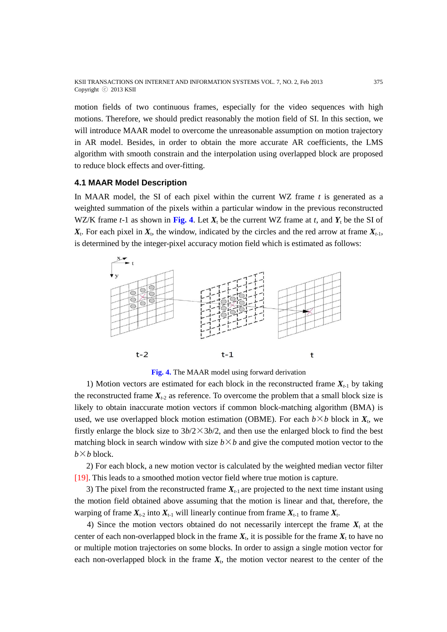KSII TRANSACTIONS ON INTERNET AND INFORMATION SYSTEMS VOL. 7, NO. 2, Feb 2013 375 Copyright ⓒ 2013 KSII

motion fields of two continuous frames, especially for the video sequences with high motions. Therefore, we should predict reasonably the motion field of SI. In this section, we will introduce MAAR model to overcome the unreasonable assumption on motion trajectory in AR model. Besides, in order to obtain the more accurate AR coefficients, the LMS algorithm with smooth constrain and the interpolation using overlapped block are proposed to reduce block effects and over-fitting.

#### **4.1 MAAR Model Description**

In MAAR model, the SI of each pixel within the current WZ frame *t* is generated as a weighted summation of the pixels within a particular window in the previous reconstructed WZ/K frame  $t-1$  as shown in Fig. 4. Let  $X_t$  be the current WZ frame at  $t$ , and  $Y_t$  be the SI of  $X_t$ . For each pixel in  $X_t$ , the window, indicated by the circles and the red arrow at frame  $X_{t-1}$ , is determined by the integer-pixel accuracy motion field which is estimated as follows:



**Fig. 4.** The MAAR model using forward derivation

1) Motion vectors are estimated for each block in the reconstructed frame  $X_{t-1}$  by taking the reconstructed frame  $X_{t-2}$  as reference. To overcome the problem that a small block size is likely to obtain inaccurate motion vectors if common block-matching algorithm (BMA) is used, we use overlapped block motion estimation (OBME). For each  $b \times b$  block in  $X_t$ , we firstly enlarge the block size to  $3b/2 \times 3b/2$ , and then use the enlarged block to find the best matching block in search window with size  $b \times b$  and give the computed motion vector to the  $b \times b$  block.

2) For each block, a new motion vector is calculated by the weighted median vector filter [19]. This leads to a smoothed motion vector field where true motion is capture.

3) The pixel from the reconstructed frame  $X_{t-1}$  are projected to the next time instant using the motion field obtained above assuming that the motion is linear and that, therefore, the warping of frame  $X_{t-2}$  into  $X_{t-1}$  will linearly continue from frame  $X_{t-1}$  to frame  $X_{t}$ .

4) Since the motion vectors obtained do not necessarily intercept the frame  $X_t$  at the center of each non-overlapped block in the frame  $X_t$ , it is possible for the frame  $X_t$  to have no or multiple motion trajectories on some blocks. In order to assign a single motion vector for each non-overlapped block in the frame  $X_t$ , the motion vector nearest to the center of the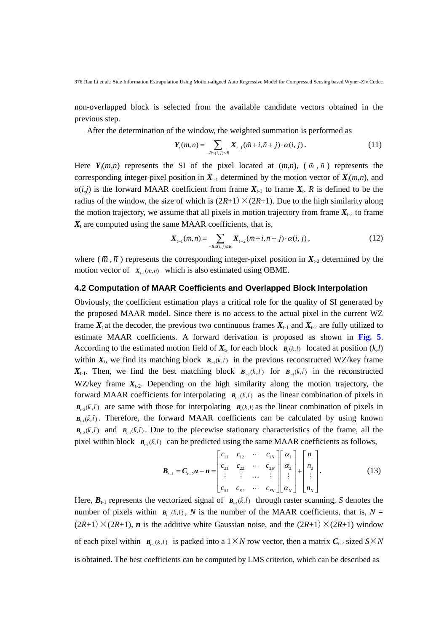non-overlapped block is selected from the available candidate vectors obtained in the previous step.

After the determination of the window, the weighted summation is performed as

$$
Y_{i}(m,n) = \sum_{-R \leq (i,j) \leq R} X_{i-1}(\tilde{m}+i,\tilde{n}+j) \cdot \alpha(i,j).
$$
 (11)

Here  $Y_t(m,n)$  represents the SI of the pixel located at  $(m,n)$ ,  $(\tilde{m}, \tilde{n})$  represents the corresponding integer-pixel position in  $X_{t-1}$  determined by the motion vector of  $X_t(m,n)$ , and  $\alpha(i,j)$  is the forward MAAR coefficient from frame  $X_{t-1}$  to frame  $X_t$ . *R* is defined to be the radius of the window, the size of which is  $(2R+1) \times (2R+1)$ . Due to the high similarity along the motion trajectory, we assume that all pixels in motion trajectory from frame  $X_{t-2}$  to frame  $X_t$  are computed using the same MAAR coefficients, that is,

$$
X_{i-1}(\tilde{m}, \tilde{n}) = \sum_{-R \le (i,j) \le R} X_{i-2}(\bar{m} + i, \bar{n} + j) \cdot \alpha(i,j), \qquad (12)
$$

where  $(\bar{m}, \bar{n})$  represents the corresponding integer-pixel position in  $X_{t-2}$  determined by the motion vector of  $X_{t-1}(\tilde{m}, \tilde{n})$  which is also estimated using OBME.

#### **4.2 Computation of MAAR Coefficients and Overlapped Block Interpolation**

Obviously, the coefficient estimation plays a critical role for the quality of SI generated by the proposed MAAR model. Since there is no access to the actual pixel in the current WZ frame  $X_t$  at the decoder, the previous two continuous frames  $X_{t-1}$  and  $X_{t-2}$  are fully utilized to estimate MAAR coefficients. A forward derivation is proposed as shown in **Fig. 5**. According to the estimated motion field of  $X_t$ , for each block  $B_t(k,l)$  located at position  $(k,l)$ within  $X_t$ , we find its matching block  $B_{t-1}(\tilde{k}, \tilde{l})$  in the previous reconstructed WZ/key frame  $X_{t-1}$ . Then, we find the best matching block  $B_{t-2}(\bar{k}, \bar{l})$  for  $B_{t-1}(\tilde{k}, \tilde{l})$  in the reconstructed WZ/key frame  $X_{t-2}$ . Depending on the high similarity along the motion trajectory, the forward MAAR coefficients for interpolating  $B_{n-1}(\tilde{k}, \tilde{l})$  as the linear combination of pixels in  $B_{t-2}(\bar{k}, \bar{l})$  are same with those for interpolating  $B_{t}(k, l)$  as the linear combination of pixels in  $B_{n}(\tilde{k}, \tilde{l})$ . Therefore, the forward MAAR coefficients can be calculated by using known  $B_{k-2}(\bar{k}, \bar{l})$  and  $B_{k-1}(\tilde{k}, \tilde{l})$ . Due to the piecewise stationary characteristics of the frame, all the pixel within block  $B_{\mu\nu}(\tilde{k}, \tilde{l})$  can be predicted using the same MAAR coefficients as follows,

$$
\boldsymbol{B}_{t-1} = \boldsymbol{C}_{t-2} \boldsymbol{\alpha} + \boldsymbol{n} = \begin{bmatrix} c_{11} & c_{12} & \cdots & c_{1N} \\ c_{21} & c_{22} & \cdots & c_{2N} \\ \vdots & \vdots & \cdots & \vdots \\ c_{S1} & c_{S2} & \cdots & c_{SN} \end{bmatrix} \begin{bmatrix} \alpha_1 \\ \alpha_2 \\ \vdots \\ \alpha_N \end{bmatrix} + \begin{bmatrix} n_1 \\ n_2 \\ \vdots \\ n_N \end{bmatrix} .
$$
 (13)

Here,  $B_{t-1}$  represents the vectorized signal of  $B_{t-1}(\tilde{k}, \tilde{l})$  through raster scanning, *S* denotes the number of pixels within  $B_{t-1}(\tilde{k}, \tilde{l})$ , N is the number of the MAAR coefficients, that is,  $N =$  $(2R+1)\times(2R+1)$ , *n* is the additive white Gaussian noise, and the  $(2R+1)\times(2R+1)$  window of each pixel within  $B_{n-1}(\tilde{k}, \tilde{l})$  is packed into a  $1 \times N$  row vector, then a matrix  $C_{t-2}$  sized  $S \times N$ is obtained. The best coefficients can be computed by LMS criterion, which can be described as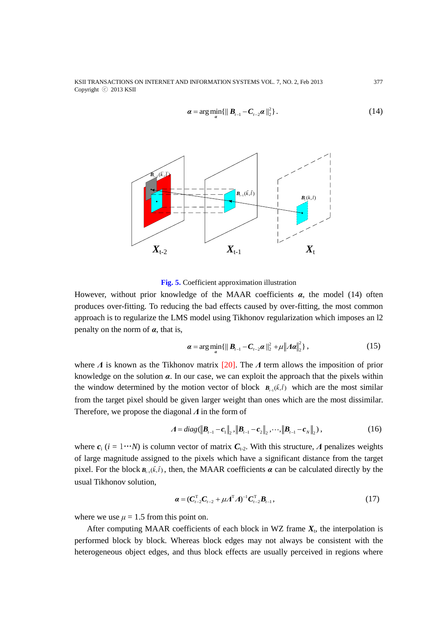KSII TRANSACTIONS ON INTERNET AND INFORMATION SYSTEMS VOL. 7, NO. 2, Feb 2013 377 Copyright ⓒ 2013 KSII

$$
\boldsymbol{\alpha} = \arg \min_{\alpha} \{ \| \boldsymbol{B}_{t-1} - \boldsymbol{C}_{t-2} \boldsymbol{\alpha} \|_{2}^{2} \}.
$$
 (14)



**Fig. 5.** Coefficient approximation illustration

However, without prior knowledge of the MAAR coefficients *α*, the model (14) often produces over-fitting. To reducing the bad effects caused by over-fitting, the most common approach is to regularize the LMS model using Tikhonov regularization which imposes an l2 penalty on the norm of *α*, that is,

$$
\boldsymbol{\alpha} = \arg \min_{\mathbf{\alpha}} \{ \| \boldsymbol{B}_{t-1} - \boldsymbol{C}_{t-2} \boldsymbol{\alpha} \|_{2}^{2} + \mu \| A \boldsymbol{\alpha} \|_{2}^{2} \},
$$
 (15)

where *Λ* is known as the Tikhonov matrix [20]. The *Λ* term allows the imposition of prior knowledge on the solution *α*. In our case, we can exploit the approach that the pixels within the window determined by the motion vector of block  $B_{n}(\tilde{k}, \tilde{l})$  which are the most similar from the target pixel should be given larger weight than ones which are the most dissimilar. Therefore, we propose the diagonal *Λ* in the form of

$$
A = diag(||B_{t-1} - c_1||_2, ||B_{t-1} - c_2||_2, \cdots, ||B_{t-1} - c_N||_2),
$$
\n(16)

where  $c_i$  ( $i = 1 \cdots N$ ) is column vector of matrix  $C_{t-2}$ . With this structure, *Λ* penalizes weights of large magnitude assigned to the pixels which have a significant distance from the target pixel. For the block  $B_{\mu\nu}(\tilde{k},\tilde{l})$ , then, the MAAR coefficients  $\alpha$  can be calculated directly by the usual Tikhonov solution,

$$
\boldsymbol{\alpha} = (\boldsymbol{C}_{t-2}^{\mathrm{T}} \boldsymbol{C}_{t-2} + \mu \boldsymbol{\Lambda}^{\mathrm{T}} \boldsymbol{\Lambda})^{-1} \boldsymbol{C}_{t-2}^{\mathrm{T}} \boldsymbol{B}_{t-1},
$$
\n(17)

where we use  $\mu = 1.5$  from this point on.

After computing MAAR coefficients of each block in WZ frame  $X_t$ , the interpolation is performed block by block. Whereas block edges may not always be consistent with the heterogeneous object edges, and thus block effects are usually perceived in regions where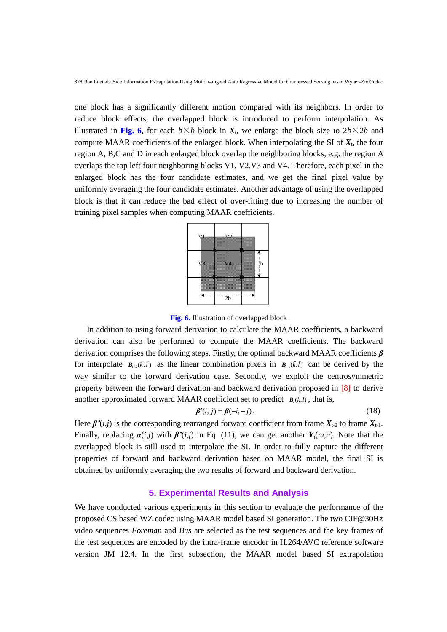one block has a significantly different motion compared with its neighbors. In order to reduce block effects, the overlapped block is introduced to perform interpolation. As illustrated in Fig. 6, for each  $b \times b$  block in  $X_t$ , we enlarge the block size to  $2b \times 2b$  and compute MAAR coefficients of the enlarged block. When interpolating the SI of  $X_t$ , the four region A, B,C and D in each enlarged block overlap the neighboring blocks, e.g. the region A overlaps the top left four neighboring blocks V1, V2,V3 and V4. Therefore, each pixel in the enlarged block has the four candidate estimates, and we get the final pixel value by uniformly averaging the four candidate estimates. Another advantage of using the overlapped block is that it can reduce the bad effect of over-fitting due to increasing the number of training pixel samples when computing MAAR coefficients.

|                 | <sup>1</sup> b |
|-----------------|----------------|
|                 |                |
|                 |                |
| $\overline{2b}$ |                |

**Fig. 6.** Illustration of overlapped block

In addition to using forward derivation to calculate the MAAR coefficients, a backward derivation can also be performed to compute the MAAR coefficients. The backward derivation comprises the following steps. Firstly, the optimal backward MAAR coefficients *β* for interpolate  $B_{i-2}(\bar{k}, \bar{l})$  as the linear combination pixels in  $B_{i-1}(\tilde{k}, \tilde{l})$  can be derived by the way similar to the forward derivation case. Secondly, we exploit the centrosymmetric property between the forward derivation and backward derivation proposed in [8] to derive another approximated forward MAAR coefficient set to predict  $B_i(k,l)$ , that is,

$$
\mathbf{\beta}'(i,j) = \mathbf{\beta}(-i,-j). \tag{18}
$$

Here  $\beta'(i,j)$  is the corresponding rearranged forward coefficient from frame  $X_{t-2}$  to frame  $X_{t-1}$ . Finally, replacing  $\alpha(i,j)$  with  $\beta'(i,j)$  in Eq. (11), we can get another  $Y_t(m,n)$ . Note that the overlapped block is still used to interpolate the SI. In order to fully capture the different properties of forward and backward derivation based on MAAR model, the final SI is obtained by uniformly averaging the two results of forward and backward derivation.

## **5. Experimental Results and Analysis**

We have conducted various experiments in this section to evaluate the performance of the proposed CS based WZ codec using MAAR model based SI generation. The two CIF@30Hz video sequences *Foreman* and *Bus* are selected as the test sequences and the key frames of the test sequences are encoded by the intra-frame encoder in H.264/AVC reference software version JM 12.4. In the first subsection, the MAAR model based SI extrapolation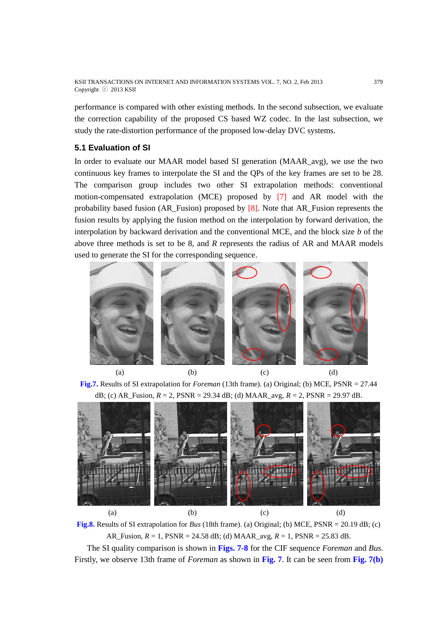performance is compared with other existing methods. In the second subsection, we evaluate the correction capability of the proposed CS based WZ codec. In the last subsection, we study the rate-distortion performance of the proposed low-delay DVC systems.

# **5.1 Evaluation of SI**

In order to evaluate our MAAR model based SI generation (MAAR\_avg), we use the two continuous key frames to interpolate the SI and the QPs of the key frames are set to be 28. The comparison group includes two other SI extrapolation methods: conventional motion-compensated extrapolation (MCE) proposed by [7] and AR model with the probability based fusion (AR\_Fusion) proposed by  $[8]$ . Note that AR\_Fusion represents the fusion results by applying the fusion method on the interpolation by forward derivation, the interpolation by backward derivation and the conventional MCE, and the block size *b* of the above three methods is set to be 8, and *R* represents the radius of AR and MAAR models used to generate the SI for the corresponding sequence.



**Fig.7.** Results of SI extrapolation for *Foreman* (13th frame). (a) Original; (b) MCE, PSNR = 27.44 dB; (c) AR\_Fusion, *R* = 2, PSNR = 29.34 dB; (d) MAAR\_avg, *R* = 2, PSNR = 29.97 dB.



**Fig.8.** Results of SI extrapolation for *Bus* (18th frame). (a) Original; (b) MCE, PSNR = 20.19 dB; (c) AR\_Fusion, *R* = 1, PSNR = 24.58 dB; (d) MAAR\_avg, *R* = 1, PSNR = 25.83 dB.

The SI quality comparison is shown in **Figs. 7-8** for the CIF sequence *Foreman* and *Bus*. Firstly, we observe 13th frame of *Foreman* as shown in **Fig. 7**. It can be seen from **Fig. 7(b)**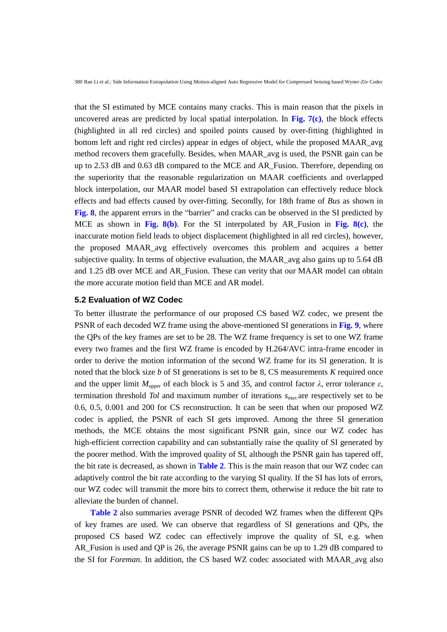that the SI estimated by MCE contains many cracks. This is main reason that the pixels in uncovered areas are predicted by local spatial interpolation. In **Fig. 7(c)**, the block effects (highlighted in all red circles) and spoiled points caused by over-fitting (highlighted in bottom left and right red circles) appear in edges of object, while the proposed MAAR\_avg method recovers them gracefully. Besides, when MAAR\_avg is used, the PSNR gain can be up to 2.53 dB and 0.63 dB compared to the MCE and AR\_Fusion. Therefore, depending on the superiority that the reasonable regularization on MAAR coefficients and overlapped block interpolation, our MAAR model based SI extrapolation can effectively reduce block effects and bad effects caused by over-fitting. Secondly, for 18th frame of *Bus* as shown in **Fig. 8**, the apparent errors in the "barrier" and cracks can be observed in the SI predicted by MCE as shown in **Fig. 8(b)**. For the SI interpolated by AR\_Fusion in **Fig. 8(c)**, the inaccurate motion field leads to object displacement (highlighted in all red circles), however, the proposed MAAR\_avg effectively overcomes this problem and acquires a better subjective quality. In terms of objective evaluation, the MAAR avg also gains up to 5.64 dB and 1.25 dB over MCE and AR\_Fusion. These can verity that our MAAR model can obtain the more accurate motion field than MCE and AR model.

## **5.2 Evaluation of WZ Codec**

To better illustrate the performance of our proposed CS based WZ codec, we present the PSNR of each decoded WZ frame using the above-mentioned SI generations in **Fig. 9**, where the QPs of the key frames are set to be 28. The WZ frame frequency is set to one WZ frame every two frames and the first WZ frame is encoded by H.264/AVC intra-frame encoder in order to derive the motion information of the second WZ frame for its SI generation. It is noted that the block size *b* of SI generations is set to be 8, CS measurements *K* required once and the upper limit  $M_{\text{upper}}$  of each block is 5 and 35, and control factor  $\lambda$ , error tolerance  $\varepsilon$ , termination threshold *Tol* and maximum number of iterations *s*max are respectively set to be 0.6, 0.5, 0.001 and 200 for CS reconstruction. It can be seen that when our proposed WZ codec is applied, the PSNR of each SI gets improved. Among the three SI generation methods, the MCE obtains the most significant PSNR gain, since our WZ codec has high-efficient correction capability and can substantially raise the quality of SI generated by the poorer method. With the improved quality of SI, although the PSNR gain has tapered off, the bit rate is decreased, as shown in **Table 2**. This is the main reason that our WZ codec can adaptively control the bit rate according to the varying SI quality. If the SI has lots of errors, our WZ codec will transmit the more bits to correct them, otherwise it reduce the bit rate to alleviate the burden of channel.

**Table 2** also summaries average PSNR of decoded WZ frames when the different QPs of key frames are used. We can observe that regardless of SI generations and QPs, the proposed CS based WZ codec can effectively improve the quality of SI, e.g. when AR Fusion is used and QP is 26, the average PSNR gains can be up to 1.29 dB compared to the SI for *Foreman*. In addition, the CS based WZ codec associated with MAAR\_avg also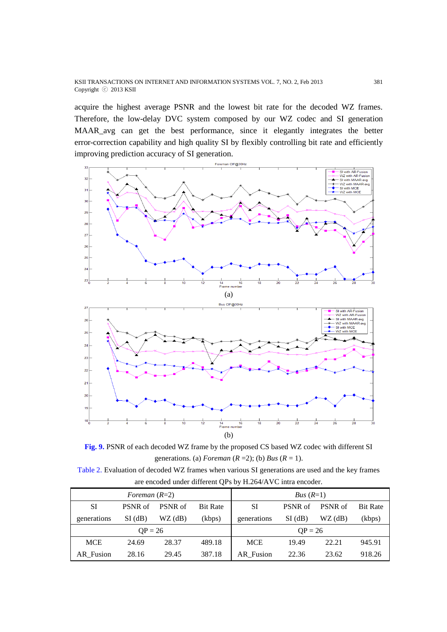acquire the highest average PSNR and the lowest bit rate for the decoded WZ frames. Therefore, the low-delay DVC system composed by our WZ codec and SI generation MAAR\_avg can get the best performance, since it elegantly integrates the better error-correction capability and high quality SI by flexibly controlling bit rate and efficiently improving prediction accuracy of SI generation.



**Fig. 9.** PSNR of each decoded WZ frame by the proposed CS based WZ codec with different SI generations. (a) *Foreman*  $(R = 2)$ ; (b) *Bus*  $(R = 1)$ .

Table 2. Evaluation of decoded WZ frames when various SI generations are used and the key frames are encoded under different QPs by H.264/AVC intra encoder.

| Foreman $(R=2)$ |           |           |                 | Bus $(R=1)$ |           |           |                 |
|-----------------|-----------|-----------|-----------------|-------------|-----------|-----------|-----------------|
| SI              | PSNR of   | PSNR of   | <b>Bit Rate</b> | SI          | PSNR of   | PSNR of   | <b>Bit Rate</b> |
| generations     | $SI$ (dB) | $WZ$ (dB) | (kbps)          | generations | $SI$ (dB) | $WZ$ (dB) | (kbps)          |
| $OP = 26$       |           |           | $OP = 26$       |             |           |           |                 |
| <b>MCE</b>      | 24.69     | 28.37     | 489.18          | <b>MCE</b>  | 19.49     | 22.21     | 945.91          |
| AR Fusion       | 28.16     | 29.45     | 387.18          | AR_Fusion   | 22.36     | 23.62     | 918.26          |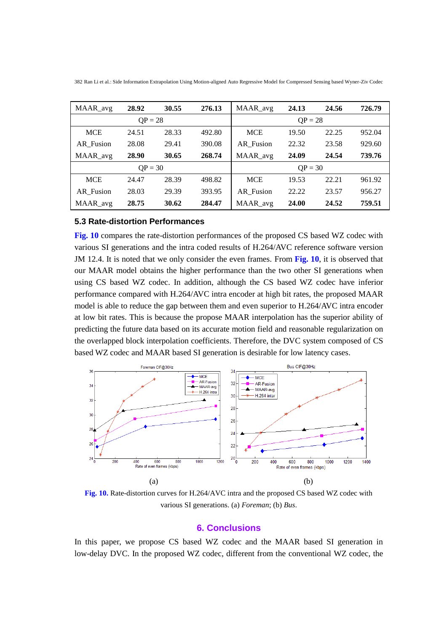| MAAR_avg   | 28.92 | 30.55 | 276.13 | MAAR_avg         | 24.13 | 24.56 | 726.79 |
|------------|-------|-------|--------|------------------|-------|-------|--------|
| $QP = 28$  |       |       |        | $QP = 28$        |       |       |        |
| <b>MCE</b> | 24.51 | 28.33 | 492.80 | <b>MCE</b>       | 19.50 | 22.25 | 952.04 |
| AR Fusion  | 28.08 | 29.41 | 390.08 | <b>AR</b> Fusion | 22.32 | 23.58 | 929.60 |
| MAAR_avg   | 28.90 | 30.65 | 268.74 | MAAR_avg         | 24.09 | 24.54 | 739.76 |
| $OP = 30$  |       |       |        | $OP = 30$        |       |       |        |
| <b>MCE</b> | 24.47 | 28.39 | 498.82 | <b>MCE</b>       | 19.53 | 22.21 | 961.92 |
| AR Fusion  | 28.03 | 29.39 | 393.95 | <b>AR</b> Fusion | 22.22 | 23.57 | 956.27 |
| MAAR_avg   | 28.75 | 30.62 | 284.47 | MAAR avg         | 24.00 | 24.52 | 759.51 |

382 Ran Li et al.: Side Information Extrapolation Using Motion-aligned Auto Regressive Model for Compressed Sensing based Wyner-Ziv Codec

## **5.3 Rate-distortion Performances**

**Fig. 10** compares the rate-distortion performances of the proposed CS based WZ codec with various SI generations and the intra coded results of H.264/AVC reference software version JM 12.4. It is noted that we only consider the even frames. From **Fig. 10**, it is observed that our MAAR model obtains the higher performance than the two other SI generations when using CS based WZ codec. In addition, although the CS based WZ codec have inferior performance compared with H.264/AVC intra encoder at high bit rates, the proposed MAAR model is able to reduce the gap between them and even superior to H.264/AVC intra encoder at low bit rates. This is because the propose MAAR interpolation has the superior ability of predicting the future data based on its accurate motion field and reasonable regularization on the overlapped block interpolation coefficients. Therefore, the DVC system composed of CS based WZ codec and MAAR based SI generation is desirable for low latency cases.



**Fig. 10.** Rate-distortion curves for H.264/AVC intra and the proposed CS based WZ codec with various SI generations. (a) *Foreman*; (b) *Bus*.

## **6. Conclusions**

In this paper, we propose CS based WZ codec and the MAAR based SI generation in low-delay DVC. In the proposed WZ codec, different from the conventional WZ codec, the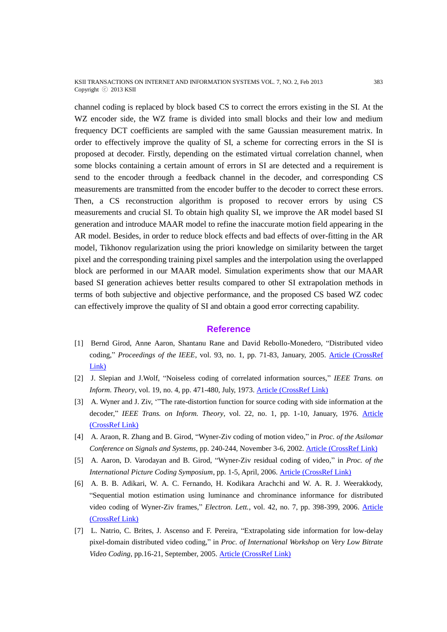KSII TRANSACTIONS ON INTERNET AND INFORMATION SYSTEMS VOL. 7, NO. 2, Feb 2013 383 Copyright ⓒ 2013 KSII

channel coding is replaced by block based CS to correct the errors existing in the SI. At the WZ encoder side, the WZ frame is divided into small blocks and their low and medium frequency DCT coefficients are sampled with the same Gaussian measurement matrix. In order to effectively improve the quality of SI, a scheme for correcting errors in the SI is proposed at decoder. Firstly, depending on the estimated virtual correlation channel, when some blocks containing a certain amount of errors in SI are detected and a requirement is send to the encoder through a feedback channel in the decoder, and corresponding CS measurements are transmitted from the encoder buffer to the decoder to correct these errors. Then, a CS reconstruction algorithm is proposed to recover errors by using CS measurements and crucial SI. To obtain high quality SI, we improve the AR model based SI generation and introduce MAAR model to refine the inaccurate motion field appearing in the AR model. Besides, in order to reduce block effects and bad effects of over-fitting in the AR model, Tikhonov regularization using the priori knowledge on similarity between the target pixel and the corresponding training pixel samples and the interpolation using the overlapped block are performed in our MAAR model. Simulation experiments show that our MAAR based SI generation achieves better results compared to other SI extrapolation methods in terms of both subjective and objective performance, and the proposed CS based WZ codec can effectively improve the quality of SI and obtain a good error correcting capability.

#### **Reference**

- [1] Bernd Girod, Anne Aaron, Shantanu Rane and David Rebollo-Monedero, "Distributed video coding," *Proceedings of the IEEE*, vol. 93, no. 1, pp. 71-83, January, 2005. [Article \(CrossRef](http://dx.doi.org/10.1109/JPROC.2004.839619)  [Link\)](http://dx.doi.org/10.1109/JPROC.2004.839619)
- [2] J. Slepian and J.Wolf, "Noiseless coding of correlated information sources," *IEEE Trans. on Inform. Theory*, vol. 19, no. 4, pp. 471-480, July, 1973. [Article \(CrossRef Link\)](http://dx.doi.org/10.1109/TIT.1973.1055037)
- [3] A. Wyner and J. Ziv, '"The rate-distortion function for source coding with side information at the decoder," *IEEE Trans. on Inform. Theory*, vol. 22, no. 1, pp. 1-10, January, 1976. [Article](http://dx.doi.org/10.1109/TIT.1976.1055508)  [\(CrossRef Link\)](http://dx.doi.org/10.1109/TIT.1976.1055508)
- [4] A. Araon, R. Zhang and B. Girod, "Wyner-Ziv coding of motion video," in *Proc. of the Asilomar Conference on Signals and Systems*, pp. 240-244, November 3-6, 2002. [Article \(CrossRef Link\)](http://ieeexplore.ieee.org/xpls/abs_all.jsp?arnumber=1197184)
- [5] A. Aaron, D. Varodayan and B. Girod, "Wyner-Ziv residual coding of video," in *Proc. of the International Picture Coding Symposium*, pp. 1-5, April, 2006. [Article \(CrossRef Link\)](http://citeseerx.ist.psu.edu/viewdoc/download?doi=10.1.1.65.1234&rep=rep1&type=pdf)
- [6] A. B. B. Adikari, W. A. C. Fernando, H. Kodikara Arachchi and W. A. R. J. Weerakkody, "Sequential motion estimation using luminance and chrominance informance for distributed video coding of Wyner-Ziv frames," *Electron. Lett.*, vol. 42, no. 7, pp. 398-399, 2006. [Article](http://dx.doi.org/10.1049/el:20060302)  [\(CrossRef Link\)](http://dx.doi.org/10.1049/el:20060302)
- [7] L. Natrio, C. Brites, J. Ascenso and F. Pereira, "Extrapolating side information for low-delay pixel-domain distributed video coding," in *Proc. of International Workshop on Very Low Bitrate Video Coding*, pp.16-21, September, 2005. [Article \(CrossRef Link\)](http://www.springerlink.com/index/W11443451155N308.pdf)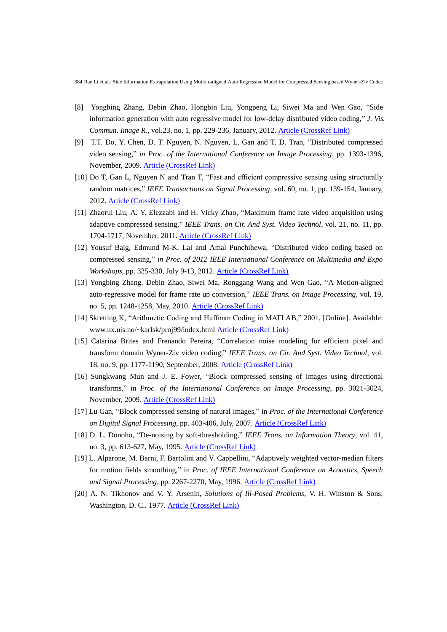- [8] Yongbing Zhang, Debin Zhao, Hongbin Liu, Yongpeng Li, Siwei Ma and Wen Gao, "Side information generation with auto regressive model for low-delay distributed video coding," *J. Vis. Commun. Image R.*, vol.23, no. 1, pp. 229-236, January, 2012. [Article \(CrossRef Link\)](http://dx.doi.org/10.1016/j.jvcir.2011.10.001)
- [9] T.T. Do, Y. Chen, D. T. Nguyen, N. Nguyen, L. Gan and T. D. Tran, "Distributed compressed video sensing," *in Proc. of the International Conference on Image Processing*, pp. 1393-1396, November, 2009. [Article \(CrossRef Link\)](http://ieeexplore.ieee.org/xpls/abs_all.jsp?arnumber=5414631)
- [10] Do T, Gan L, Nguyen N and Tran T, "Fast and efficient compressive sensing using structurally random matrices," *IEEE Transactions on Signal Processing*, vol. 60, no. 1, pp. 139-154, January, 2012. [Article \(CrossRef Link\)](http://dx.doi.org/10.1109/TSP.2011.2170977)
- [11] Zhaorui Liu, A. Y. Elezzabi and H. Vicky Zhao, "Maximum frame rate video acquisition using adaptive compressed sensing," *IEEE Trans. on Cir. And Syst. Video Technol*, vol. 21, no. 11, pp. 1704-1717, November, 2011. [Article \(CrossRef Link\)](http://ieeexplore.ieee.org/xpls/abs_all.jsp?arnumber=5740314)
- [12] Yousuf Baig, Edmund M-K. Lai and Amal Punchihewa, "Distributed video coding based on compressed sensing," *in Proc. of 2012 IEEE International Conference on Multimedia and Expo Workshops*, pp. 325-330, July 9-13, 2012. [Article \(CrossRef Link\)](http://ieeexplore.ieee.org/xpls/abs_all.jsp?arnumber=6266276)
- [13] Yongbing Zhang, Debin Zhao, Siwei Ma, Ronggang Wang and Wen Gao, "A Motion-aligned auto-regressive model for frame rate up conversion," *IEEE Trans. on Image Processing*, vol. 19, no. 5, pp. 1248-1258, May, 2010. [Article \(CrossRef Link\)](http://dx.doi.org/10.1109/TIP.2009.2039055)
- [14] Skretting K, "Arithmetic Coding and Huffman Coding in MATLAB," 2001, [Online]. Available: www.ux.uis.no/~karlsk/proj99/index.html [Article \(CrossRef Link\)](www.ux.uis.no/~karlsk/proj99/index.html)
- [15] Catarina Brites and Frenando Pereira, "Correlation noise modeling for efficient pixel and transform domain Wyner-Ziv video coding," *IEEE Trans. on Cir. And Syst. Video Technol*, vol. 18, no. 9, pp. 1177-1190, September, 2008. [Article \(CrossRef Link\)](http://ieeexplore.ieee.org/xpls/abs_all.jsp?arnumber=4498429)
- [16] Sungkwang Mun and J. E. Fower, "Block compressed sensing of images using directional transforms," in *Proc. of the International Conference on Image Processing*, pp. 3021-3024, November, 2009. [Article \(CrossRef Link\)](http://ieeexplore.ieee.org/xpls/abs_all.jsp?arnumber=5414429)
- [17] Lu Gan, "Block compressed sensing of natural images," in *Proc. of the International Conference on Digital Signal Processing*, pp. 403-406, July, 2007. [Article \(CrossRef Link\)](http://ieeexplore.ieee.org/xpls/abs_all.jsp?arnumber=4288604)
- [18] D. L. Donoho, "De-noising by soft-thresholding," *IEEE Trans. on Information Theory*, vol. 41, no. 3, pp. 613-627, May, 1995. [Article \(CrossRef Link\)](http://dx.doi.org/10.1109/18.382009)
- [19] L. Alparone, M. Barni, F. Bartolini and V. Cappellini, "Adaptively weighted vector-median filters for motion fields smoothing," in *Proc. of IEEE International Conference on Acoustics, Speech and Signal Processing*, pp. 2267-2270, May, 1996. [Article \(CrossRef Link\)](http://ieeexplore.ieee.org/xpls/abs_all.jsp?arnumber=545874)
- [20] A. N. Tikhonov and V. Y. Arsenin, *Solutions of Ill-Posed Problems*, V. H. Winston & Sons, Washington, D. C.. 1977. [Article \(CrossRef Link\)](https://www.google.com.tw/url?sa=t&rct=j&q=&esrc=s&source=web&cd=3&cad=rja&ved=0CFIQFjAC&url=%68%74%74%70%3a%2f%2f%62%6f%6f%6b%73%2e%67%6f%6f%67%6c%65%2e%63%6f%6d%2f%62%6f%6f%6b%73%2f%61%62%6f%75%74%2f%53%6f%6c%75%74%69%6f%6e%73%5f%6f%66%5f%69%6c%6c%5f%70%6f%73%65%64%5f%70%72%6f%62%6c%65%6d%73%2e%68%74%6d%6c%3f%69%64%3d%45%43%72%76%41%41%41%41%4d%41%41%4a&ei=f1cTUZysDNGXiQew6oH4CQ&usg=AFQjCNEigFDvI6FmwPY1Dq8hnMDthlImhQ&sig2=EU3YFkECn_Z0tg1DYU2H2g)